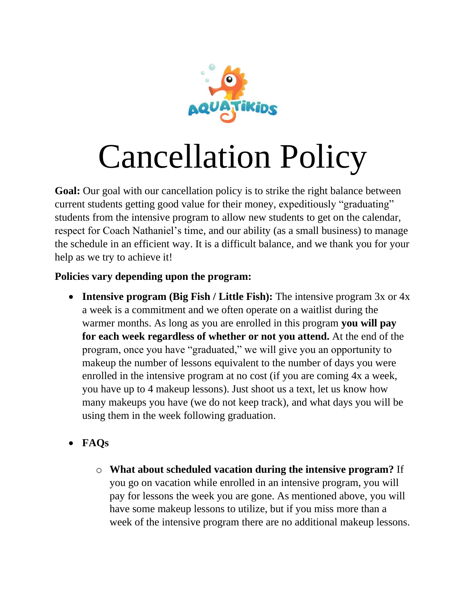

## Cancellation Policy

**Goal:** Our goal with our cancellation policy is to strike the right balance between current students getting good value for their money, expeditiously "graduating" students from the intensive program to allow new students to get on the calendar, respect for Coach Nathaniel's time, and our ability (as a small business) to manage the schedule in an efficient way. It is a difficult balance, and we thank you for your help as we try to achieve it!

## **Policies vary depending upon the program:**

- **Intensive program (Big Fish / Little Fish):** The intensive program 3x or 4x a week is a commitment and we often operate on a waitlist during the warmer months. As long as you are enrolled in this program **you will pay for each week regardless of whether or not you attend.** At the end of the program, once you have "graduated," we will give you an opportunity to makeup the number of lessons equivalent to the number of days you were enrolled in the intensive program at no cost (if you are coming 4x a week, you have up to 4 makeup lessons). Just shoot us a text, let us know how many makeups you have (we do not keep track), and what days you will be using them in the week following graduation.
- **FAQs**
	- o **What about scheduled vacation during the intensive program?** If you go on vacation while enrolled in an intensive program, you will pay for lessons the week you are gone. As mentioned above, you will have some makeup lessons to utilize, but if you miss more than a week of the intensive program there are no additional makeup lessons.